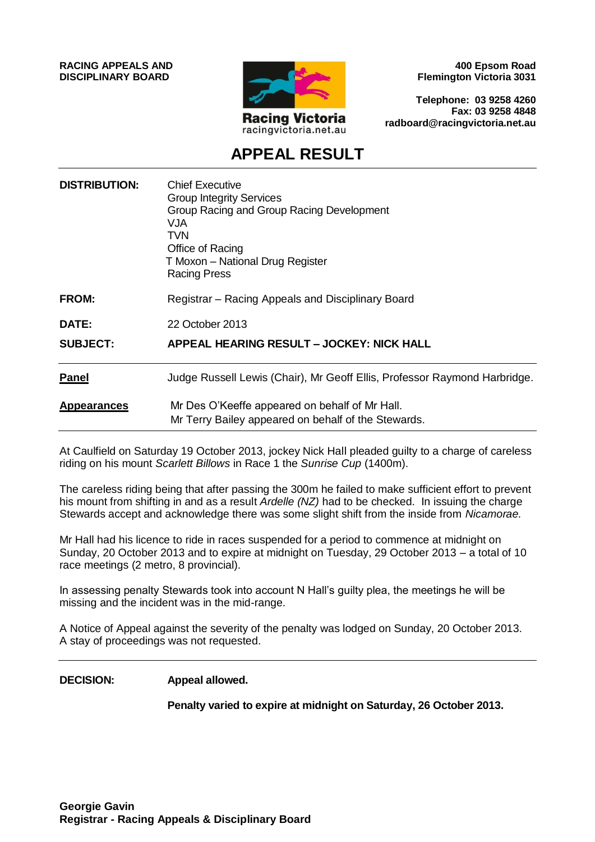**RACING APPEALS AND DISCIPLINARY BOARD**



**400 Epsom Road Flemington Victoria 3031**

**Telephone: 03 9258 4260 Fax: 03 9258 4848 radboard@racingvictoria.net.au**

# **APPEAL RESULT**

| <b>DISTRIBUTION:</b> | <b>Chief Executive</b><br><b>Group Integrity Services</b><br>Group Racing and Group Racing Development<br>VJA<br>TVN<br>Office of Racing<br>T Moxon - National Drug Register<br><b>Racing Press</b> |
|----------------------|-----------------------------------------------------------------------------------------------------------------------------------------------------------------------------------------------------|
| <b>FROM:</b>         | Registrar – Racing Appeals and Disciplinary Board                                                                                                                                                   |
| <b>DATE:</b>         | 22 October 2013                                                                                                                                                                                     |
| <b>SUBJECT:</b>      | APPEAL HEARING RESULT - JOCKEY: NICK HALL                                                                                                                                                           |
| <b>Panel</b>         | Judge Russell Lewis (Chair), Mr Geoff Ellis, Professor Raymond Harbridge.                                                                                                                           |
| <b>Appearances</b>   | Mr Des O'Keeffe appeared on behalf of Mr Hall.<br>Mr Terry Bailey appeared on behalf of the Stewards.                                                                                               |

At Caulfield on Saturday 19 October 2013, jockey Nick Hall pleaded guilty to a charge of careless riding on his mount *Scarlett Billows* in Race 1 the *Sunrise Cup* (1400m).

The careless riding being that after passing the 300m he failed to make sufficient effort to prevent his mount from shifting in and as a result *Ardelle (NZ)* had to be checked. In issuing the charge Stewards accept and acknowledge there was some slight shift from the inside from *Nicamorae.*

Mr Hall had his licence to ride in races suspended for a period to commence at midnight on Sunday, 20 October 2013 and to expire at midnight on Tuesday, 29 October 2013 – a total of 10 race meetings (2 metro, 8 provincial).

In assessing penalty Stewards took into account N Hall's guilty plea, the meetings he will be missing and the incident was in the mid-range.

A Notice of Appeal against the severity of the penalty was lodged on Sunday, 20 October 2013. A stay of proceedings was not requested.

**DECISION: Appeal allowed.** 

**Penalty varied to expire at midnight on Saturday, 26 October 2013.**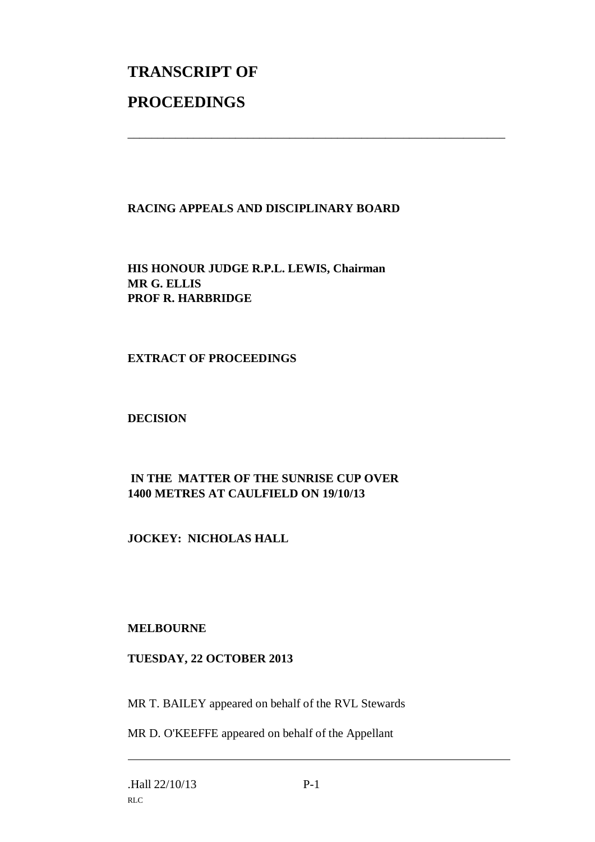# **TRANSCRIPT OF PROCEEDINGS**

## **RACING APPEALS AND DISCIPLINARY BOARD**

\_\_\_\_\_\_\_\_\_\_\_\_\_\_\_\_\_\_\_\_\_\_\_\_\_\_\_\_\_\_\_\_\_\_\_\_\_\_\_\_\_\_\_\_\_\_\_\_\_\_\_\_\_\_\_\_\_\_\_\_\_\_\_

**HIS HONOUR JUDGE R.P.L. LEWIS, Chairman MR G. ELLIS PROF R. HARBRIDGE**

#### **EXTRACT OF PROCEEDINGS**

#### **DECISION**

## **IN THE MATTER OF THE SUNRISE CUP OVER 1400 METRES AT CAULFIELD ON 19/10/13**

#### **JOCKEY: NICHOLAS HALL**

#### **MELBOURNE**

#### **TUESDAY, 22 OCTOBER 2013**

MR T. BAILEY appeared on behalf of the RVL Stewards

MR D. O'KEEFFE appeared on behalf of the Appellant